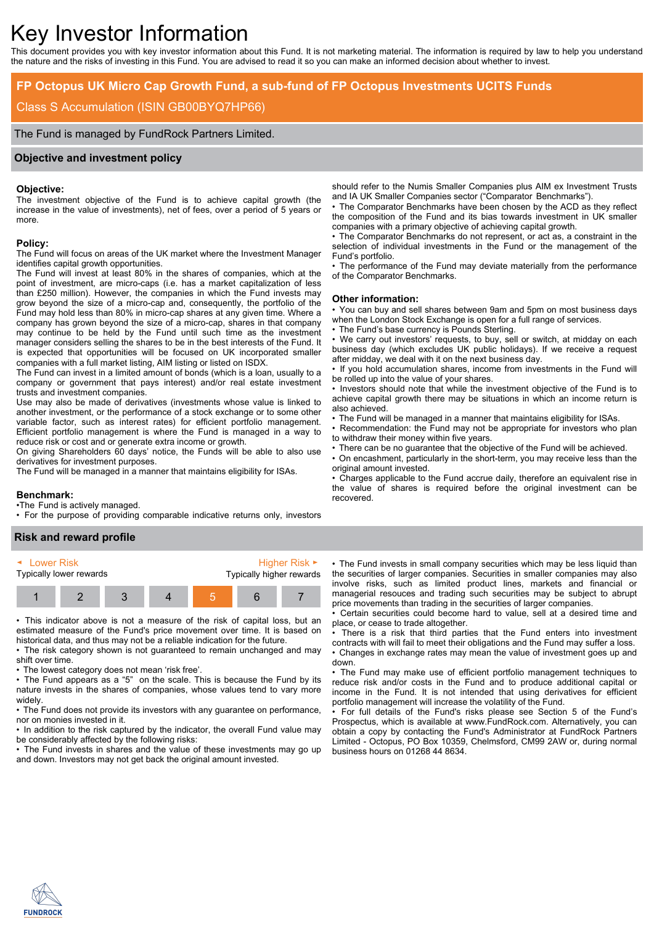# Key Investor Information

This document provides you with key investor information about this Fund. It is not marketing material. The information is required by law to help you understand the nature and the risks of investing in this Fund. You are advised to read it so you can make an informed decision about whether to invest.

# **FP Octopus UK Micro Cap Growth Fund, a sub-fund of FP Octopus Investments UCITS Funds**

# Class S Accumulation (ISIN GB00BYQ7HP66)

The Fund is managed by FundRock Partners Limited.

# **Objective and investment policy**

### **Objective:**

The investment objective of the Fund is to achieve capital growth (the increase in the value of investments), net of fees, over a period of 5 years or more.

#### **Policy:**

The Fund will focus on areas of the UK market where the Investment Manager identifies capital growth opportunities.

The Fund will invest at least 80% in the shares of companies, which at the point of investment, are micro-caps (i.e. has a market capitalization of less than £250 million). However, the companies in which the Fund invests may grow beyond the size of a micro-cap and, consequently, the portfolio of the Fund may hold less than 80% in micro-cap shares at any given time. Where a company has grown beyond the size of a micro-cap, shares in that company may continue to be held by the Fund until such time as the investment manager considers selling the shares to be in the best interests of the Fund. It is expected that opportunities will be focused on UK incorporated smaller companies with a full market listing, AIM listing or listed on ISDX.

The Fund can invest in a limited amount of bonds (which is a loan, usually to a company or government that pays interest) and/or real estate investment trusts and investment companies.

Use may also be made of derivatives (investments whose value is linked to another investment, or the performance of a stock exchange or to some other variable factor, such as interest rates) for efficient portfolio management. Efficient portfolio management is where the Fund is managed in a way to reduce risk or cost and or generate extra income or growth.

On giving Shareholders 60 days' notice, the Funds will be able to also use derivatives for investment purposes.

The Fund will be managed in a manner that maintains eligibility for ISAs.

### **Benchmark:**

•The Fund is actively managed.

• For the purpose of providing comparable indicative returns only, investors

## **Risk and reward profile**



• This indicator above is not a measure of the risk of capital loss, but an estimated measure of the Fund's price movement over time. It is based on historical data, and thus may not be a reliable indication for the future.

• The risk category shown is not guaranteed to remain unchanged and may shift over time.

• The lowest category does not mean 'risk free'.

• The Fund appears as a "5" on the scale. This is because the Fund by its nature invests in the shares of companies, whose values tend to vary more widely.

• The Fund does not provide its investors with any quarantee on performance. nor on monies invested in it.

• In addition to the risk captured by the indicator, the overall Fund value may be considerably affected by the following risks:

• The Fund invests in shares and the value of these investments may go up and down. Investors may not get back the original amount invested.

should refer to the Numis Smaller Companies plus AIM ex Investment Trusts and IA UK Smaller Companies sector ("Comparator Benchmarks").

• The Comparator Benchmarks have been chosen by the ACD as they reflect the composition of the Fund and its bias towards investment in UK smaller companies with a primary objective of achieving capital growth.

• The Comparator Benchmarks do not represent, or act as, a constraint in the selection of individual investments in the Fund or the management of the Fund's portfolio.

• The performance of the Fund may deviate materially from the performance of the Comparator Benchmarks.

### **Other information:**

• You can buy and sell shares between 9am and 5pm on most business days when the London Stock Exchange is open for a full range of services.

The Fund's base currency is Pounds Sterling.

• We carry out investors' requests, to buy, sell or switch, at midday on each business day (which excludes UK public holidays). If we receive a request after midday, we deal with it on the next business day.

• If you hold accumulation shares, income from investments in the Fund will be rolled up into the value of your shares.

• Investors should note that while the investment objective of the Fund is to achieve capital growth there may be situations in which an income return is also achieved.

• The Fund will be managed in a manner that maintains eligibility for ISAs.

• Recommendation: the Fund may not be appropriate for investors who plan to withdraw their money within five years.

• There can be no guarantee that the objective of the Fund will be achieved.

• On encashment, particularly in the short-term, you may receive less than the original amount invested.

• Charges applicable to the Fund accrue daily, therefore an equivalent rise in the value of shares is required before the original investment can be recovered.

• The Fund invests in small company securities which may be less liquid than the securities of larger companies. Securities in smaller companies may also involve risks, such as limited product lines, markets and financial or managerial resouces and trading such securities may be subject to abrupt price movements than trading in the securities of larger companies.

• Certain securities could become hard to value, sell at a desired time and place, or cease to trade altogether.

• There is a risk that third parties that the Fund enters into investment contracts with will fail to meet their obligations and the Fund may suffer a loss. • Changes in exchange rates may mean the value of investment goes up and down.

• The Fund may make use of efficient portfolio management techniques to reduce risk and/or costs in the Fund and to produce additional capital or income in the Fund. It is not intended that using derivatives for efficient portfolio management will increase the volatility of the Fund.

• For full details of the Fund's risks please see Section 5 of the Fund's Prospectus, which is available at www.FundRock.com. Alternatively, you can obtain a copy by contacting the Fund's Administrator at FundRock Partners Limited - Octopus, PO Box 10359, Chelmsford, CM99 2AW or, during normal business hours on 01268 44 8634.